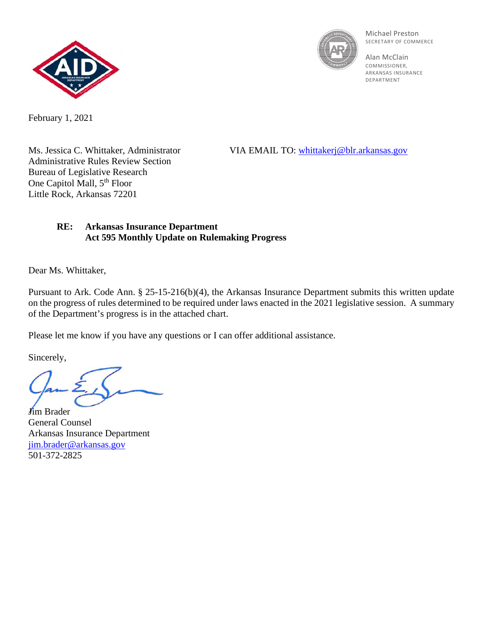



Michael Preston SECRETARY OF COMMERCE

Alan McClain **COMMISSIONER** ARKANSAS INSURANCE DEPARTMENT

February 1, 2021

Administrative Rules Review Section Bureau of Legislative Research One Capitol Mall, 5<sup>th</sup> Floor Little Rock, Arkansas 72201

Ms. Jessica C. Whittaker, Administrator VIA EMAIL TO: [whittakerj@blr.arkansas.gov](mailto:whittakerj@blr.arkansas.gov)

## **RE: Arkansas Insurance Department Act 595 Monthly Update on Rulemaking Progress**

Dear Ms. Whittaker,

Pursuant to Ark. Code Ann. § 25-15-216(b)(4), the Arkansas Insurance Department submits this written update on the progress of rules determined to be required under laws enacted in the 2021 legislative session. A summary of the Department's progress is in the attached chart.

Please let me know if you have any questions or I can offer additional assistance.

Sincerely,

**J**im Brader General Counsel Arkansas Insurance Department [jim.brader@arkansas.gov](mailto:jim.brader@arkansas.gov) 501-372-2825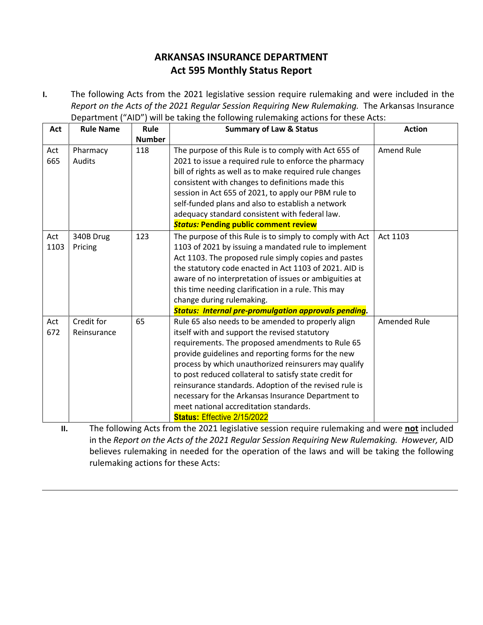## **ARKANSAS INSURANCE DEPARTMENT Act 595 Monthly Status Report**

**I.** The following Acts from the 2021 legislative session require rulemaking and were included in the *Report on the Acts of the 2021 Regular Session Requiring New Rulemaking.* The Arkansas Insurance Department ("AID") will be taking the following rulemaking actions for these Acts:

| Act         | <b>Rule Name</b>          | Rule          | <b>Summary of Law &amp; Status</b>                                                                                                                                                                                                                                                                                                                                                                                                                                                                                              | <b>Action</b>       |
|-------------|---------------------------|---------------|---------------------------------------------------------------------------------------------------------------------------------------------------------------------------------------------------------------------------------------------------------------------------------------------------------------------------------------------------------------------------------------------------------------------------------------------------------------------------------------------------------------------------------|---------------------|
|             |                           | <b>Number</b> |                                                                                                                                                                                                                                                                                                                                                                                                                                                                                                                                 |                     |
| Act<br>665  | Pharmacy<br><b>Audits</b> | 118           | The purpose of this Rule is to comply with Act 655 of<br>2021 to issue a required rule to enforce the pharmacy<br>bill of rights as well as to make required rule changes<br>consistent with changes to definitions made this<br>session in Act 655 of 2021, to apply our PBM rule to<br>self-funded plans and also to establish a network<br>adequacy standard consistent with federal law.<br><b>Status: Pending public comment review</b>                                                                                    | Amend Rule          |
| Act<br>1103 | 340B Drug<br>Pricing      | 123           | The purpose of this Rule is to simply to comply with Act<br>1103 of 2021 by issuing a mandated rule to implement<br>Act 1103. The proposed rule simply copies and pastes<br>the statutory code enacted in Act 1103 of 2021. AID is<br>aware of no interpretation of issues or ambiguities at<br>this time needing clarification in a rule. This may<br>change during rulemaking.<br><b>Status: Internal pre-promulgation approvals pending.</b>                                                                                 | Act 1103            |
| Act<br>672  | Credit for<br>Reinsurance | 65            | Rule 65 also needs to be amended to properly align<br>itself with and support the revised statutory<br>requirements. The proposed amendments to Rule 65<br>provide guidelines and reporting forms for the new<br>process by which unauthorized reinsurers may qualify<br>to post reduced collateral to satisfy state credit for<br>reinsurance standards. Adoption of the revised rule is<br>necessary for the Arkansas Insurance Department to<br>meet national accreditation standards.<br><b>Status: Effective 2/15/2022</b> | <b>Amended Rule</b> |

**II.** The following Acts from the 2021 legislative session require rulemaking and were **not** included in the *Report on the Acts of the 2021 Regular Session Requiring New Rulemaking. However,* AID believes rulemaking in needed for the operation of the laws and will be taking the following rulemaking actions for these Acts: